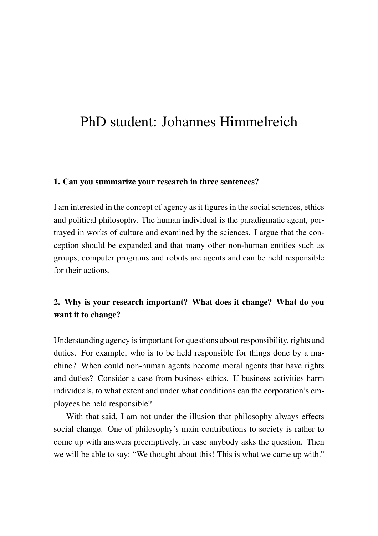# PhD student: Johannes Himmelreich

#### 1. Can you summarize your research in three sentences?

I am interested in the concept of agency as it figures in the social sciences, ethics and political philosophy. The human individual is the paradigmatic agent, portrayed in works of culture and examined by the sciences. I argue that the conception should be expanded and that many other non-human entities such as groups, computer programs and robots are agents and can be held responsible for their actions.

## 2. Why is your research important? What does it change? What do you want it to change?

Understanding agency is important for questions about responsibility, rights and duties. For example, who is to be held responsible for things done by a machine? When could non-human agents become moral agents that have rights and duties? Consider a case from business ethics. If business activities harm individuals, to what extent and under what conditions can the corporation's employees be held responsible?

With that said, I am not under the illusion that philosophy always effects social change. One of philosophy's main contributions to society is rather to come up with answers preemptively, in case anybody asks the question. Then we will be able to say: "We thought about this! This is what we came up with."